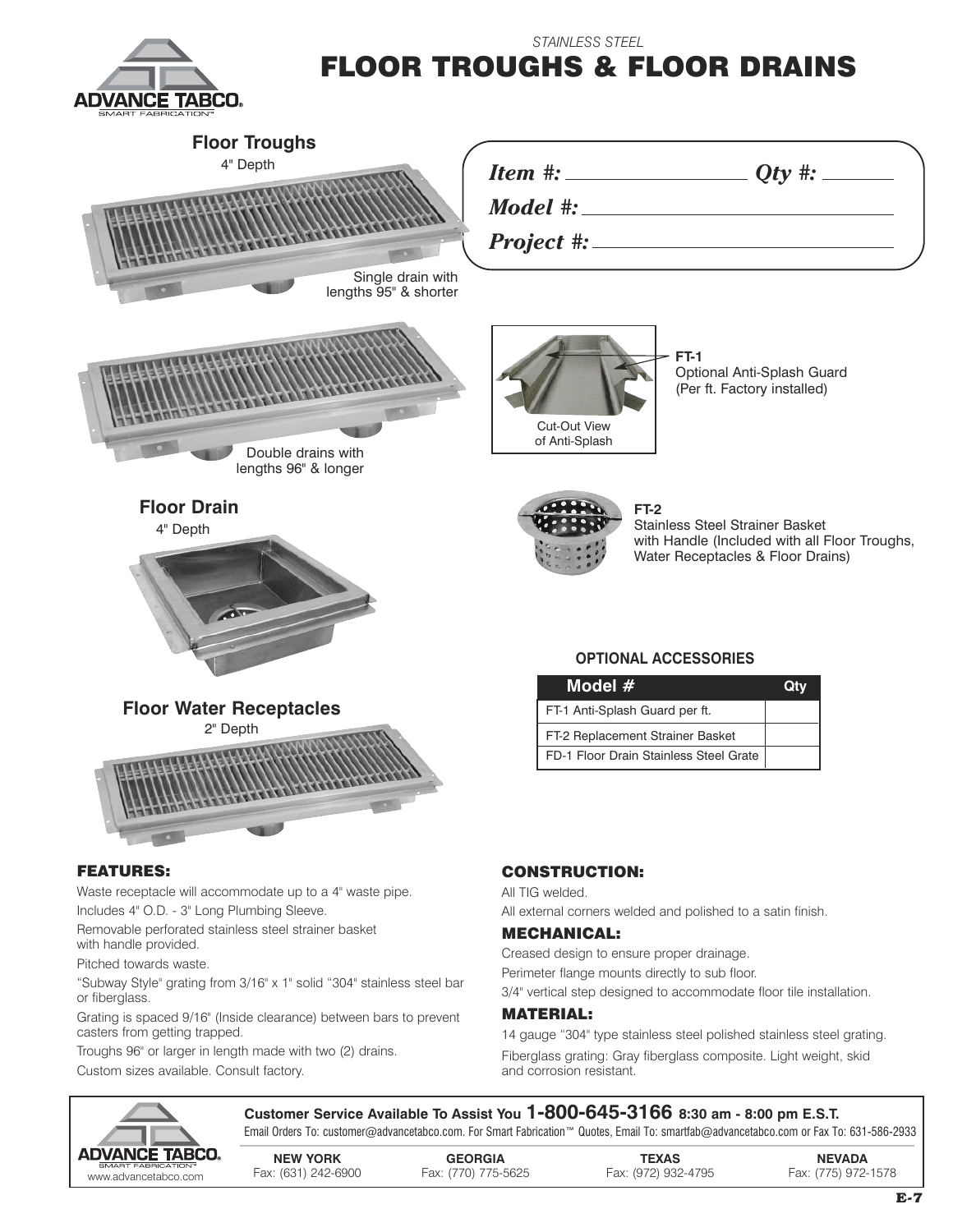

## *STAINLESS STEEL* **FLOOR TROUGHS & FLOOR DRAINS**



Removable perforated stainless steel strainer basket with handle provided.

Pitched towards waste.

"Subway Style" grating from 3/16" x 1" solid "304" stainless steel bar or fiberglass.

Grating is spaced 9/16" (Inside clearance) between bars to prevent casters from getting trapped.

Troughs 96" or larger in length made with two (2) drains. Custom sizes available. Consult factory.

## **MECHANICAL:**

Creased design to ensure proper drainage. Perimeter flange mounts directly to sub floor. 3/4" vertical step designed to accommodate floor tile installation.

## **MATERIAL:**

14 gauge "304" type stainless steel polished stainless steel grating. Fiberglass grating: Gray fiberglass composite. Light weight, skid and corrosion resistant.



**Customer Service Available To Assist You 1-800-645-3166 8:30 am - 8:00 pm E.S.T.** Email Orders To: customer@advancetabco.com. For Smart Fabrication™ Quotes, Email To: smartfab@advancetabco.com or Fax To: 631-586-2933

**NEW YORK GEORGIA TEXAS NEVADA** www.advante-abducations" - Fax: (631) 242-6900 Fax: (770) 775-5625 Fax: (972) 932-4795 Fax: (775) 972-1578 .<br>www.advancetabco.com Fax: (631) 242-6900 Fax: (770) 775-5625 Fax: (972) 932-4795 Fax: (775) 972-1578